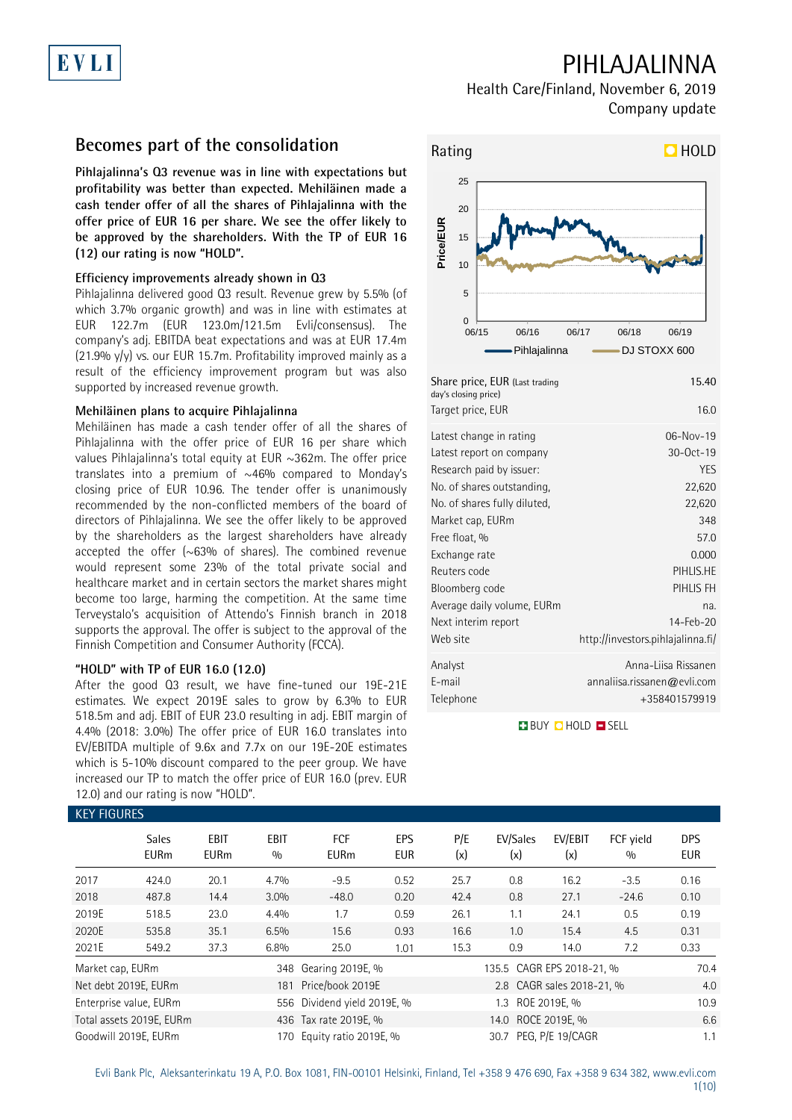# EVLI

## PIHLAJALINNA

Health Care/Finland, November 6, 2019 Company update

### **Becomes part of the consolidation**

**Pihlajalinna's Q3 revenue was in line with expectations but profitability was better than expected. Mehiläinen made a cash tender offer of all the shares of Pihlajalinna with the offer price of EUR 16 per share. We see the offer likely to be approved by the shareholders. With the TP of EUR 16 (12) our rating is now "HOLD".** 

### **Efficiency improvements already shown in Q3**

Pihlajalinna delivered good Q3 result. Revenue grew by 5.5% (of which 3.7% organic growth) and was in line with estimates at EUR 122.7m (EUR 123.0m/121.5m Evli/consensus). The company's adj. EBITDA beat expectations and was at EUR 17.4m (21.9% y/y) vs. our EUR 15.7m. Profitability improved mainly as a result of the efficiency improvement program but was also supported by increased revenue growth.

### **Mehiläinen plans to acquire Pihlajalinna**

Mehiläinen has made a cash tender offer of all the shares of Pihlajalinna with the offer price of EUR 16 per share which values Pihlajalinna's total equity at EUR ~362m. The offer price translates into a premium of  $~46\%$  compared to Monday's closing price of EUR 10.96. The tender offer is unanimously recommended by the non-conflicted members of the board of directors of Pihlajalinna. We see the offer likely to be approved by the shareholders as the largest shareholders have already accepted the offer  $(\sim 63\%$  of shares). The combined revenue would represent some 23% of the total private social and healthcare market and in certain sectors the market shares might become too large, harming the competition. At the same time Terveystalo's acquisition of Attendo's Finnish branch in 2018 supports the approval. The offer is subject to the approval of the Finnish Competition and Consumer Authority (FCCA).

### **"HOLD" with TP of EUR 16.0 (12.0)**

After the good Q3 result, we have fine-tuned our 19E-21E estimates. We expect 2019E sales to grow by 6.3% to EUR 518.5m and adj. EBIT of EUR 23.0 resulting in adj. EBIT margin of 4.4% (2018: 3.0%) The offer price of EUR 16.0 translates into EV/EBITDA multiple of 9.6x and 7.7x on our 19E-20E estimates which is 5-10% discount compared to the peer group. We have increased our TP to match the offer price of EUR 16.0 (prev. EUR 12.0) and our rating is now "HOLD".

### Rating **HOLD** 0 5 10 15 20 25 06/15 06/16 06/17 06/18 06/19 **Price/EUR** Pihlajalinna **- DJ STOXX 600** Share price, EUR (Last trading day's closing price) 15.40 Target price, EUR 16.0 Latest change in rating 06-Nov-19 Latest report on company 30-Oct-19 Research paid by issuer: YES No. of shares outstanding, No. of shares fully diluted, 22,620 Market cap, EURm 348 22,620 Free float, % 57.0 Exchange rate 0.000 Reuters code PIHLIS.HE Bloomberg code PIHLIS FH Average daily volume, EURm na. Next interim report 14-Feb-20 Web site http://investors.pihlajalinna.fi/

Analyst Anna-Liisa Rissanen E-mail annaliisa.rissanen@evli.com Telephone +358401579919

**BUY QHOLD SELL** 

|                  | <b>Sales</b><br><b>EURm</b> | <b>EBIT</b><br><b>EURm</b> | <b>EBIT</b><br>0/0 | <b>FCF</b><br><b>EURm</b>   | EPS<br><b>EUR</b> | P/E<br>(x) | EV/Sales<br>(x)           | EV/EBIT<br>(x)            | FCF yield<br>0/0 | <b>DPS</b><br><b>EUR</b> |
|------------------|-----------------------------|----------------------------|--------------------|-----------------------------|-------------------|------------|---------------------------|---------------------------|------------------|--------------------------|
| 2017             | 424.0                       | 20.1                       | 4.7%               | $-9.5$                      | 0.52              | 25.7       | 0.8                       | 16.2                      | $-3.5$           | 0.16                     |
| 2018             | 487.8                       | 14.4                       | 3.0%               | $-48.0$                     | 0.20              | 42.4       | 0.8                       | 27.1                      | $-24.6$          | 0.10                     |
| 2019E            | 518.5                       | 23.0                       | 4.4%               | 1.7                         | 0.59              | 26.1       | 1.1                       | 24.1                      | 0.5              | 0.19                     |
| 2020E            | 535.8                       | 35.1                       | 6.5%               | 15.6                        | 0.93              | 16.6       | 1.0                       | 15.4                      | 4.5              | 0.31                     |
| 2021E            | 549.2                       | 37.3                       | 6.8%               | 25.0                        | 1.01              | 15.3       | 0.9                       | 14.0                      | 7.2              | 0.33                     |
| Market cap, EURm |                             |                            |                    | 348 Gearing 2019E, %        |                   |            | 135.5 CAGR EPS 2018-21, % |                           |                  | 70.4                     |
|                  | Net debt 2019E, EURm        |                            | 181                | Price/book 2019E            |                   |            |                           | 2.8 CAGR sales 2018-21, % |                  | 4.0                      |
|                  | Enterprise value, EURm      |                            |                    | 556 Dividend yield 2019E, % |                   |            | 1.3                       | ROE 2019E. %              |                  | 10.9                     |
|                  | Total assets 2019E, EURm    |                            |                    | 436 Tax rate 2019E, %       |                   |            | 14.0 ROCE 2019E, %        |                           |                  | 6.6                      |
|                  | Goodwill 2019E, EURm        |                            | 170.               | Equity ratio 2019E, %       |                   |            | 30.7 PEG. P/E 19/CAGR     |                           |                  | 1.1                      |

### KEY FIGURES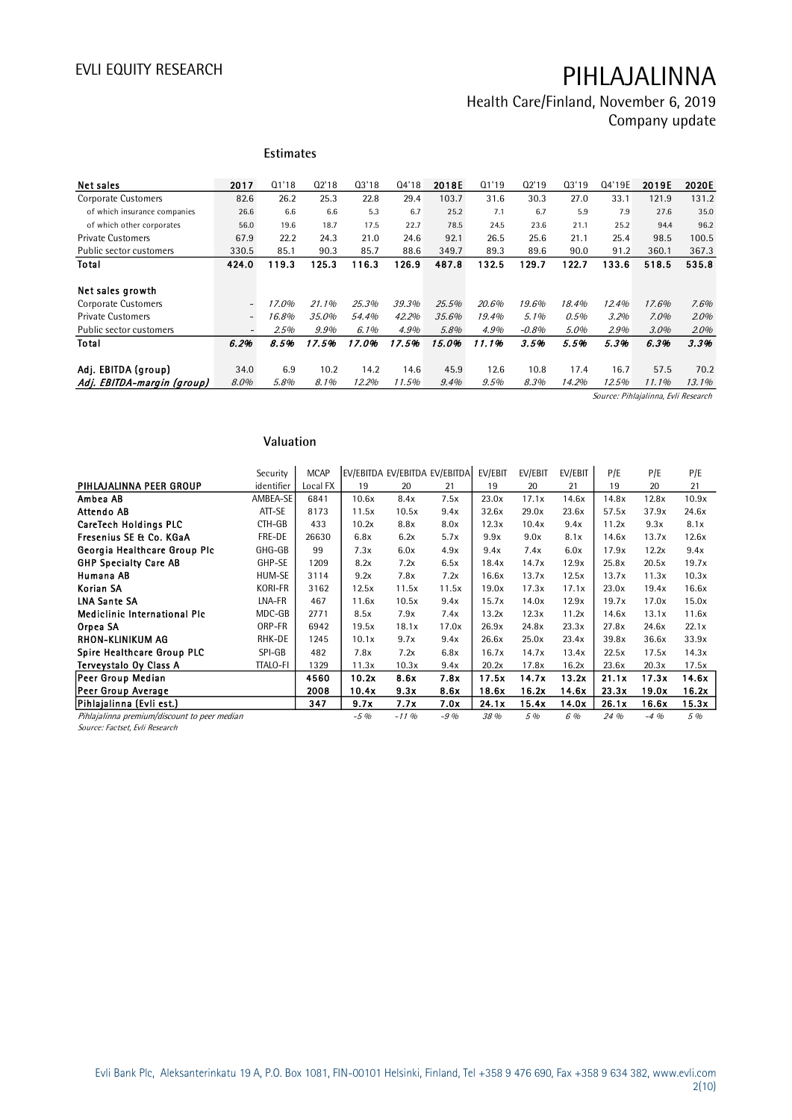# Health Care/Finland, November 6, 2019

Company update

|                              |                          | <b>Estimates</b> |       |         |       |       |       |         |       |        |                      |       |
|------------------------------|--------------------------|------------------|-------|---------|-------|-------|-------|---------|-------|--------|----------------------|-------|
| Net sales                    | 2017                     | Q1'18            | Q2'18 | Q3'18   | 04'18 | 2018E | 01'19 | Q2'19   | Q3'19 | Q4'19E | 2019E                | 2020E |
| Corporate Customers          | 82.6                     | 26.2             | 25.3  | 22.8    | 29.4  | 103.7 | 31.6  | 30.3    | 27.0  | 33.1   | 121.9                | 131.2 |
| of which insurance companies | 26.6                     | 6.6              | 6.6   | 5.3     | 6.7   | 25.2  | 7.1   | 6.7     | 5.9   | 7.9    | 27.6                 | 35.0  |
| of which other corporates    | 56.0                     | 19.6             | 18.7  | 17.5    | 22.7  | 78.5  | 24.5  | 23.6    | 21.1  | 25.2   | 94.4                 | 96.2  |
| <b>Private Customers</b>     | 67.9                     | 22.2             | 24.3  | 21.0    | 24.6  | 92.1  | 26.5  | 25.6    | 21.1  | 25.4   | 98.5                 | 100.5 |
| Public sector customers      | 330.5                    | 85.1             | 90.3  | 85.7    | 88.6  | 349.7 | 89.3  | 89.6    | 90.0  | 91.2   | 360.1                | 367.3 |
| Total                        | 424.0                    | 119.3            | 125.3 | 116.3   | 126.9 | 487.8 | 132.5 | 129.7   | 122.7 | 133.6  | 518.5                | 535.8 |
| Net sales growth             |                          |                  |       |         |       |       |       |         |       |        |                      |       |
| Corporate Customers          | $\overline{\phantom{a}}$ | 17.0%            | 21.1% | 25.3%   | 39.3% | 25.5% | 20.6% | 19.6%   | 18.4% | 12.4%  | 17.6%                | 7.6%  |
| <b>Private Customers</b>     | $\overline{\phantom{a}}$ | 16.8%            | 35.0% | 54.4%   | 42.2% | 35.6% | 19.4% | 5.1%    | 0.5%  | 3.2%   | $7.0\%$              | 2.0%  |
| Public sector customers      | $\overline{\phantom{a}}$ | 2.5%             | 9.9%  | $6.1\%$ | 4.9%  | 5.8%  | 4.9%  | $-0.8%$ | 5.0%  | 2.9%   | $3.0\%$              | 2.0%  |
| Total                        | 6.2%                     | 8.5%             | 17.5% | 17.0%   | 17.5% | 15.0% | 11.1% | 3.5%    | 5.5%  | 5.3%   | 6.3%                 | 3.3%  |
|                              |                          |                  |       |         |       |       |       |         |       |        |                      |       |
| Adj. EBITDA (group)          | 34.0                     | 6.9              | 10.2  | 14.2    | 14.6  | 45.9  | 12.6  | 10.8    | 17.4  | 16.7   | 57.5                 | 70.2  |
| Adj. EBITDA-margin (group)   | 8.0%                     | 5.8%             | 8.1%  | 12.2%   | 11.5% | 9.4%  | 9.5%  | 8.3%    | 14.2% | 12.5%  | 11.1%<br>2.7.7.7.7.7 | 13.1% |

Source: Pihlajalinna, Evli Research

### **Valuation**

|                                              | Security        | <b>MCAP</b> | EV/EBITDA EV/EBITDA EV/EBITDA |         |       | EV/EBIT | EV/EBIT | EV/EBIT | P/E   | P/E    | P/E   |
|----------------------------------------------|-----------------|-------------|-------------------------------|---------|-------|---------|---------|---------|-------|--------|-------|
| PIHLAJALINNA PEER GROUP                      | identifier      | Local FX    | 19                            | 20      | 21    | 19      | 20      | 21      | 19    | 20     | 21    |
| Ambea AB                                     | AMBEA-SE        | 6841        | 10.6x                         | 8.4x    | 7.5x  | 23.0x   | 17.1x   | 14.6x   | 14.8x | 12.8x  | 10.9x |
| Attendo AB                                   | ATT-SE          | 8173        | 11.5x                         | 10.5x   | 9.4x  | 32.6x   | 29.0x   | 23.6x   | 57.5x | 37.9x  | 24.6x |
| <b>CareTech Holdings PLC</b>                 | CTH-GB          | 433         | 10.2x                         | 8.8x    | 8.0x  | 12.3x   | 10.4x   | 9.4x    | 11.2x | 9.3x   | 8.1x  |
| Fresenius SE & Co. KGaA                      | FRE-DE          | 26630       | 6.8x                          | 6.2x    | 5.7x  | 9.9x    | 9.0x    | 8.1x    | 14.6x | 13.7x  | 12.6x |
| Georgia Healthcare Group Plc                 | GHG-GB          | 99          | 7.3x                          | 6.0x    | 4.9x  | 9.4x    | 7.4x    | 6.0x    | 17.9x | 12.2x  | 9.4x  |
| <b>GHP Specialty Care AB</b>                 | GHP-SE          | 1209        | 8.2x                          | 7.2x    | 6.5x  | 18.4x   | 14.7x   | 12.9x   | 25.8x | 20.5x  | 19.7x |
| Humana AB                                    | HUM-SE          | 3114        | 9.2x                          | 7.8x    | 7.2x  | 16.6x   | 13.7x   | 12.5x   | 13.7x | 11.3x  | 10.3x |
| Korian SA                                    | <b>KORI-FR</b>  | 3162        | 12.5x                         | 11.5x   | 11.5x | 19.0x   | 17.3x   | 17.1x   | 23.0x | 19.4x  | 16.6x |
| <b>LNA Sante SA</b>                          | LNA-FR          | 467         | 11.6x                         | 10.5x   | 9.4x  | 15.7x   | 14.0x   | 12.9x   | 19.7x | 17.0x  | 15.0x |
| <b>Mediclinic International Plc</b>          | MDC-GB          | 2771        | 8.5x                          | 7.9x    | 7.4x  | 13.2x   | 12.3x   | 11.2x   | 14.6x | 13.1x  | 11.6x |
| Orpea SA                                     | ORP-FR          | 6942        | 19.5x                         | 18.1x   | 17.0x | 26.9x   | 24.8x   | 23.3x   | 27.8x | 24.6x  | 22.1x |
| RHON-KLINIKUM AG                             | RHK-DE          | 1245        | 10.1x                         | 9.7x    | 9.4x  | 26.6x   | 25.0x   | 23.4x   | 39.8x | 36.6x  | 33.9x |
| Spire Healthcare Group PLC                   | SPI-GB          | 482         | 7.8x                          | 7.2x    | 6.8x  | 16.7x   | 14.7x   | 13.4x   | 22.5x | 17.5x  | 14.3x |
| Terveystalo Oy Class A                       | <b>TTALO-FI</b> | 1329        | 11.3x                         | 10.3x   | 9.4x  | 20.2x   | 17.8x   | 16.2x   | 23.6x | 20.3x  | 17.5x |
| Peer Group Median                            |                 | 4560        | 10.2x                         | 8.6x    | 7.8x  | 17.5x   | 14.7x   | 13.2x   | 21.1x | 17.3x  | 14.6x |
| Peer Group Average                           |                 | 2008        | 10.4x                         | 9.3x    | 8.6x  | 18.6x   | 16.2x   | 14.6x   | 23.3x | 19.0x  | 16.2x |
| Pihlajalinna (Evli est.)                     |                 | 347         | 9.7x                          | 7.7x    | 7.0x  | 24.1x   | 15.4x   | 14.0x   | 26.1x | 16.6x  | 15.3x |
| Pihlajalinna premium/discount to peer median |                 |             | $-5%$                         | $-11\%$ | $-9%$ | 38 %    | 5 %     | 6 %     | 24 %  | $-4\%$ | 5 %   |

Source: Factset, Evli Research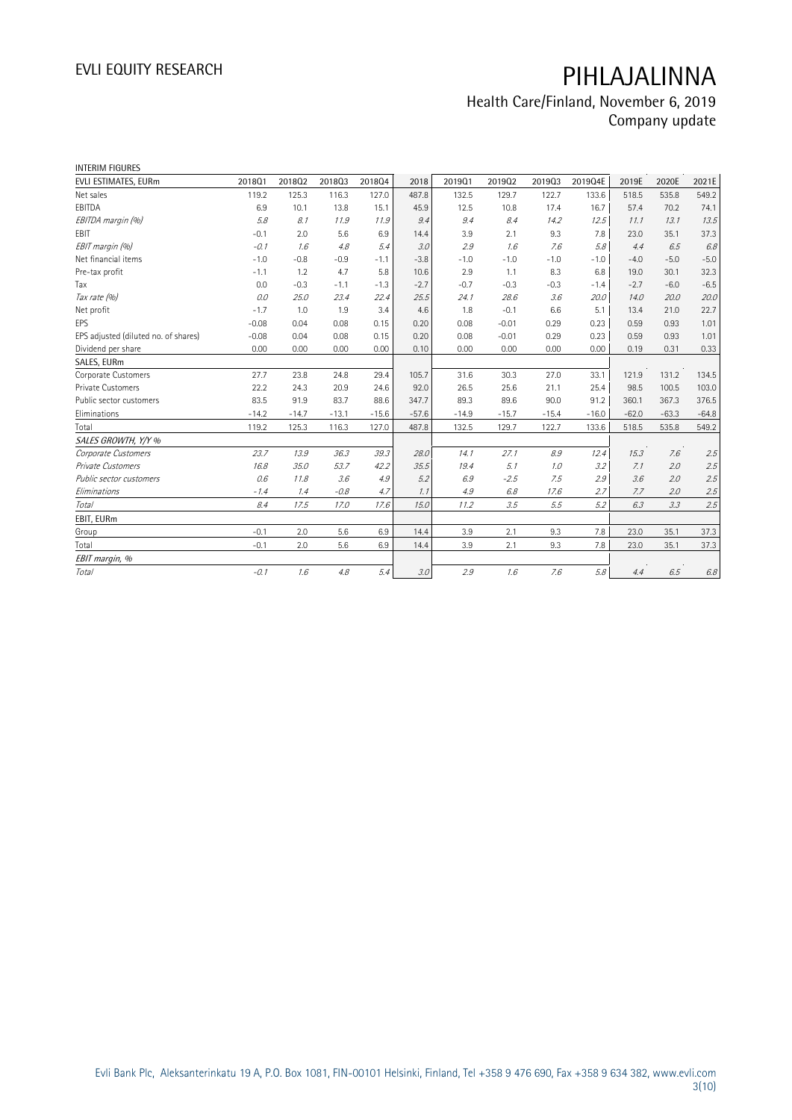| <b>INTERIM FIGURES</b>               |         |         |         |         |         |         |         |         |         |         |         |         |
|--------------------------------------|---------|---------|---------|---------|---------|---------|---------|---------|---------|---------|---------|---------|
| EVLI ESTIMATES, EURm                 | 201801  | 201802  | 201803  | 201804  | 2018    | 201901  | 201902  | 201903  | 2019Q4E | 2019E   | 2020E   | 2021E   |
| Net sales                            | 119.2   | 125.3   | 116.3   | 127.0   | 487.8   | 132.5   | 129.7   | 122.7   | 133.6   | 518.5   | 535.8   | 549.2   |
| EBITDA                               | 6.9     | 10.1    | 13.8    | 15.1    | 45.9    | 12.5    | 10.8    | 17.4    | 16.7    | 57.4    | 70.2    | 74.1    |
| EBITDA margin (%)                    | 5.8     | 8.1     | 11.9    | 11.9    | 9.4     | 9.4     | 8.4     | 14.2    | 12.5    | 11.1    | 13.1    | 13.5    |
| EBIT                                 | $-0.1$  | 2.0     | 5.6     | 6.9     | 14.4    | 3.9     | 2.1     | 9.3     | 7.8     | 23.0    | 35.1    | 37.3    |
| EBIT margin (%)                      | $-0.1$  | 1.6     | 4.8     | 5.4     | 3.0     | 2.9     | 1.6     | 7.6     | 5.8     | 4.4     | 6.5     | 6.8     |
| Net financial items                  | $-1.0$  | $-0.8$  | $-0.9$  | $-1.1$  | $-3.8$  | $-1.0$  | $-1.0$  | $-1.0$  | $-1.0$  | $-4.0$  | $-5.0$  | $-5.0$  |
| Pre-tax profit                       | $-1.1$  | 1.2     | 4.7     | 5.8     | 10.6    | 2.9     | 1.1     | 8.3     | 6.8     | 19.0    | 30.1    | 32.3    |
| Tax                                  | 0.0     | $-0.3$  | $-1.1$  | $-1.3$  | $-2.7$  | $-0.7$  | $-0.3$  | $-0.3$  | $-1.4$  | $-2.7$  | $-6.0$  | $-6.5$  |
| Tax rate (%)                         | 0.0     | 25.0    | 23.4    | 22.4    | 25.5    | 24.1    | 28.6    | 3.6     | 20.0    | 14.0    | 20.0    | 20.0    |
| Net profit                           | $-1.7$  | 1.0     | 1.9     | 3.4     | 4.6     | 1.8     | $-0.1$  | 6.6     | 5.1     | 13.4    | 21.0    | 22.7    |
| EPS                                  | $-0.08$ | 0.04    | 0.08    | 0.15    | 0.20    | 0.08    | $-0.01$ | 0.29    | 0.23    | 0.59    | 0.93    | 1.01    |
| EPS adjusted (diluted no. of shares) | $-0.08$ | 0.04    | 0.08    | 0.15    | 0.20    | 0.08    | $-0.01$ | 0.29    | 0.23    | 0.59    | 0.93    | 1.01    |
| Dividend per share                   | 0.00    | 0.00    | 0.00    | 0.00    | 0.10    | 0.00    | 0.00    | 0.00    | 0.00    | 0.19    | 0.31    | 0.33    |
| SALES, EURm                          |         |         |         |         |         |         |         |         |         |         |         |         |
| Corporate Customers                  | 27.7    | 23.8    | 24.8    | 29.4    | 105.7   | 31.6    | 30.3    | 27.0    | 33.1    | 121.9   | 131.2   | 134.5   |
| <b>Private Customers</b>             | 22.2    | 24.3    | 20.9    | 24.6    | 92.0    | 26.5    | 25.6    | 21.1    | 25.4    | 98.5    | 100.5   | 103.0   |
| Public sector customers              | 83.5    | 91.9    | 83.7    | 88.6    | 347.7   | 89.3    | 89.6    | 90.0    | 91.2    | 360.1   | 367.3   | 376.5   |
| Eliminations                         | $-14.2$ | $-14.7$ | $-13.1$ | $-15.6$ | $-57.6$ | $-14.9$ | $-15.7$ | $-15.4$ | $-16.0$ | $-62.0$ | $-63.3$ | $-64.8$ |
| Total                                | 119.2   | 125.3   | 116.3   | 127.0   | 487.8   | 132.5   | 129.7   | 122.7   | 133.6   | 518.5   | 535.8   | 549.2   |
| SALES GROWTH, Y/Y %                  |         |         |         |         |         |         |         |         |         |         |         |         |
| Corporate Customers                  | 23.7    | 13.9    | 36.3    | 39.3    | 28.0    | 14.1    | 27.1    | 8.9     | 12.4    | 15.3    | 7.6     | 2.5     |
| Private Customers                    | 16.8    | 35.0    | 53.7    | 42.2    | 35.5    | 19.4    | 5.1     | 1.0     | 3.2     | 7.1     | 2.0     | 2.5     |
| Public sector customers              | 0.6     | 11.8    | 3.6     | 4.9     | 5.2     | 6.9     | $-2.5$  | 7.5     | 2.9     | 3.6     | 2.0     | 2.5     |
| Eliminations                         | $-1.4$  | 1.4     | $-0.8$  | 4.7     | 1.1     | 4.9     | 6.8     | 17.6    | 2.7     | 7.7     | 2.0     | 2.5     |
| Total                                | 8.4     | 17.5    | 17.0    | 17.6    | 15.0    | 11.2    | 3.5     | 5.5     | 5.2     | 6.3     | 3.3     | 2.5     |
| EBIT, EURm                           |         |         |         |         |         |         |         |         |         |         |         |         |
| Group                                | $-0.1$  | 2.0     | 5.6     | 6.9     | 14.4    | 3.9     | 2.1     | 9.3     | 7.8     | 23.0    | 35.1    | 37.3    |
| Total                                | $-0.1$  | 2.0     | 5.6     | 6.9     | 14.4    | 3.9     | 2.1     | 9.3     | 7.8     | 23.0    | 35.1    | 37.3    |
| EBIT margin, %                       |         |         |         |         |         |         |         |         |         |         |         |         |
| Total                                | $-0.1$  | 1.6     | 4.8     | 5.4     | 3.0     | 2.9     | 1.6     | 7.6     | 5.8     | 4.4     | 6.5     | 6.8     |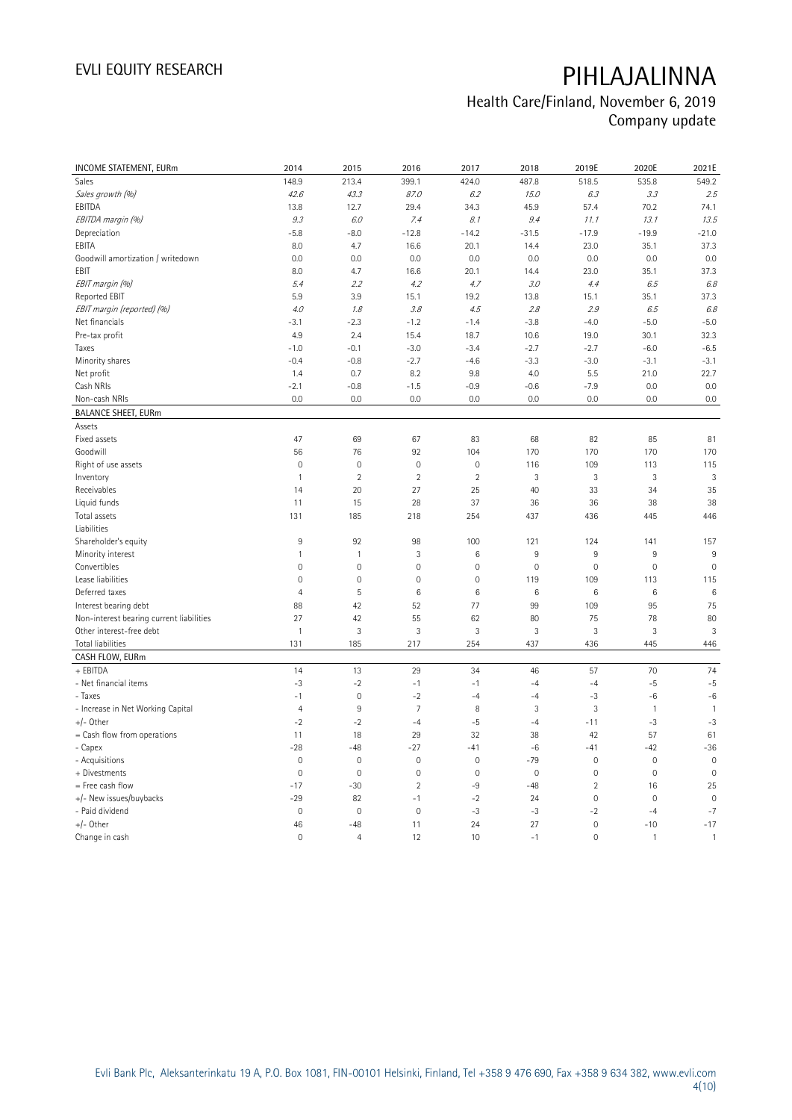| <b>INCOME STATEMENT, EURm</b>            | 2014                | 2015                      | 2016            | 2017           | 2018         | 2019E               | 2020E        | 2021E           |
|------------------------------------------|---------------------|---------------------------|-----------------|----------------|--------------|---------------------|--------------|-----------------|
| Sales                                    | 148.9               | 213.4                     | 399.1           | 424.0          | 487.8        | 518.5               | 535.8        | 549.2           |
| Sales growth (%)                         | 42.6                | 43.3                      | 87.0            | 6.2            | 15.0         | 6.3                 | 3.3          | 2.5             |
| EBITDA                                   | 13.8                | 12.7                      | 29.4            | 34.3           | 45.9         | 57.4                | 70.2         | 74.1            |
| EBITDA margin (%)                        | 9.3                 | 6.0                       | 7.4             | 8.1            | 9.4          | 11.1                | 13.1         | 13.5            |
| Depreciation                             | $-5.8$              | $-8.0$                    | $-12.8$         | $-14.2$        | $-31.5$      | $-17.9$             | $-19.9$      | $-21.0$         |
| EBITA                                    | 8.0                 | 4.7                       | 16.6            | 20.1           | 14.4         | 23.0                | 35.1         | 37.3            |
| Goodwill amortization / writedown        | 0.0                 | 0.0                       | 0.0             | 0.0            | 0.0          | 0.0                 | 0.0          | 0.0             |
| EBIT                                     | 8.0                 | 4.7                       | 16.6            | 20.1           | 14.4         | 23.0                | 35.1         | 37.3            |
| EBIT margin (%)                          | 5.4                 | 2.2                       | 4.2             | 4.7            | 3.0          | 4.4                 | 6.5          | 6.8             |
| Reported EBIT                            | 5.9                 | 3.9                       | 15.1            | 19.2           | 13.8         | 15.1                | 35.1         | 37.3            |
| EBIT margin (reported) (%)               | 4.0                 | 1.8                       | 3.8             | 4.5            | 2.8          | 2.9                 | 6.5          | 6.8             |
| Net financials                           | $-3.1$              | $-2.3$                    | $-1.2$          | $-1.4$         | $-3.8$       | $-4.0$              | $-5.0$       | $-5.0$          |
| Pre-tax profit                           | 4.9                 | 2.4                       | 15.4            | 18.7           | 10.6         | 19.0                | 30.1         | 32.3            |
| Taxes                                    | $-1.0$              | $-0.1$                    | $-3.0$          | $-3.4$         | $-2.7$       | $-2.7$              | $-6.0$       | $-6.5$          |
| Minority shares                          | $-0.4$              | $-0.8$                    | $-2.7$          | $-4.6$         | $-3.3$       | $-3.0$              | $-3.1$       | $-3.1$          |
|                                          | 1.4                 | 0.7                       | 8.2             | 9.8            | 4.0          | 5.5                 | 21.0         | 22.7            |
| Net profit<br>Cash NRIs                  | $-2.1$              |                           |                 |                |              |                     |              | 0.0             |
|                                          |                     | $-0.8$                    | $-1.5$          | $-0.9$         | $-0.6$       | $-7.9$              | 0.0          |                 |
| Non-cash NRIs                            | 0.0                 | 0.0                       | 0.0             | 0.0            | 0.0          | 0.0                 | 0.0          | 0.0             |
| <b>BALANCE SHEET, EURm</b>               |                     |                           |                 |                |              |                     |              |                 |
| Assets                                   |                     |                           |                 |                |              |                     |              |                 |
| Fixed assets                             | 47                  | 69                        | 67              | 83             | 68           | 82                  | 85           | 81              |
| Goodwill                                 | 56                  | 76                        | 92              | 104            | 170          | 170                 | 170          | 170             |
| Right of use assets                      | $\mathsf{O}\xspace$ | $\mathbf 0$               | $\mathbf 0$     | $\mathbf 0$    | 116          | 109                 | 113          | 115             |
| Inventory                                | $\mathbf{1}$        | $\overline{2}$            | $\overline{2}$  | $\overline{2}$ | 3            | 3                   | 3            | $\mathbf{3}$    |
| Receivables                              | 14                  | 20                        | 27              | 25             | 40           | 33                  | 34           | 35              |
| Liquid funds                             | 11                  | 15                        | 28              | 37             | 36           | 36                  | 38           | 38              |
| Total assets                             | 131                 | 185                       | 218             | 254            | 437          | 436                 | 445          | 446             |
| Liabilities                              |                     |                           |                 |                |              |                     |              |                 |
| Shareholder's equity                     | 9                   | 92                        | 98              | 100            | 121          | 124                 | 141          | 157             |
| Minority interest                        | 1                   | $\mathbf{1}$              | 3               | 6              | 9            | 9                   | 9            | 9               |
| Convertibles                             | $\mathsf{O}\xspace$ | $\mathbf 0$               | $\mathbf 0$     | $\mathbf 0$    | $\mathbf 0$  | $\mathbf 0$         | $\mathbf 0$  | $\mathbf 0$     |
| Lease liabilities                        | $\overline{0}$      | $\mathbf 0$               | $\mathbf 0$     | $\mathbf 0$    | 119          | 109                 | 113          | 115             |
| Deferred taxes                           | $\overline{4}$      | 5                         | $6\phantom{1}6$ | 6              | 6            | 6                   | $\,6\,$      | $6\phantom{1}6$ |
| Interest bearing debt                    | 88                  | 42                        | 52              | 77             | 99           | 109                 | 95           | 75              |
| Non-interest bearing current liabilities | 27                  | 42                        | 55              | 62             | 80           | 75                  | 78           | 80              |
| Other interest-free debt                 | $\mathbf{1}$        | $\ensuremath{\mathsf{3}}$ | $\mathbf{3}$    | 3              | 3            | 3                   | 3            | $\mathbf{3}$    |
| <b>Total liabilities</b>                 | 131                 | 185                       | 217             | 254            | 437          | 436                 | 445          | 446             |
| CASH FLOW, EURm                          |                     |                           |                 |                |              |                     |              |                 |
| + EBITDA                                 | 14                  | 13                        | 29              | 34             | 46           | 57                  | 70           | 74              |
| - Net financial items                    | $-3$                | $-2$                      | $-1$            | $-1$           | $-4$         | $-4$                | -5           | $-5$            |
| - Taxes                                  | $-1$                | $\mathbf 0$               | $-2$            | $-4$           | $-4$         | $-3$                | $-6$         | $-6$            |
| - Increase in Net Working Capital        | $\overline{4}$      | $9\,$                     | $\overline{7}$  | 8              | $\mathbf{3}$ | 3                   | $\mathbf{1}$ | $\mathbf{1}$    |
| $+/-$ Other                              | $-2$                | $-2$                      | $-4$            | $-5$           | $-4$         | $-11$               | $-3$         | $-3$            |
| $=$ Cash flow from operations            | 11                  | 18                        | 29              | 32             | 38           | 42                  | 57           | 61              |
| - Capex                                  | $-28$               | $-48$                     | $-27$           | $-41$          | $-6$         | $-41$               | $-42$        | $-36$           |
| - Acquisitions                           | $\mathbf 0$         | $\mathbf 0$               | $\mathbf 0$     | $\mathbf 0$    | $-79$        | $\mathbf 0$         | $\mathbf 0$  | $\mathbf 0$     |
| + Divestments                            | $\mathbf 0$         | $\mathbf 0$               | $\mathbf 0$     | $\mathbf 0$    | $\mathbf 0$  | $\mathbf 0$         | $\mathbf 0$  | $\mathbf 0$     |
| $=$ Free cash flow                       | $-17$               | $-30$                     | $\overline{2}$  | $-9$           | $-48$        | $\overline{2}$      | 16           | 25              |
| +/- New issues/buybacks                  | $-29$               | 82                        | $-1$            | $-2$           | 24           | $\mathsf{O}\xspace$ | $\mathbf 0$  | $\mathbf 0$     |
| - Paid dividend                          | $\mathsf{O}\xspace$ | $\mathbf 0$               | $\mathbf 0$     | $-3$           | $-3$         | $-2$                | $-4$         | $-7$            |
| $+/-$ Other                              | 46                  | $-48$                     | 11              | 24             | 27           | $\mathbf 0$         | $-10$        | $-17$           |
| Change in cash                           | $\overline{0}$      | $\overline{4}$            | 12              | 10             | $-1$         | $\mathbf 0$         | $\mathbf{1}$ | $\mathbf{1}$    |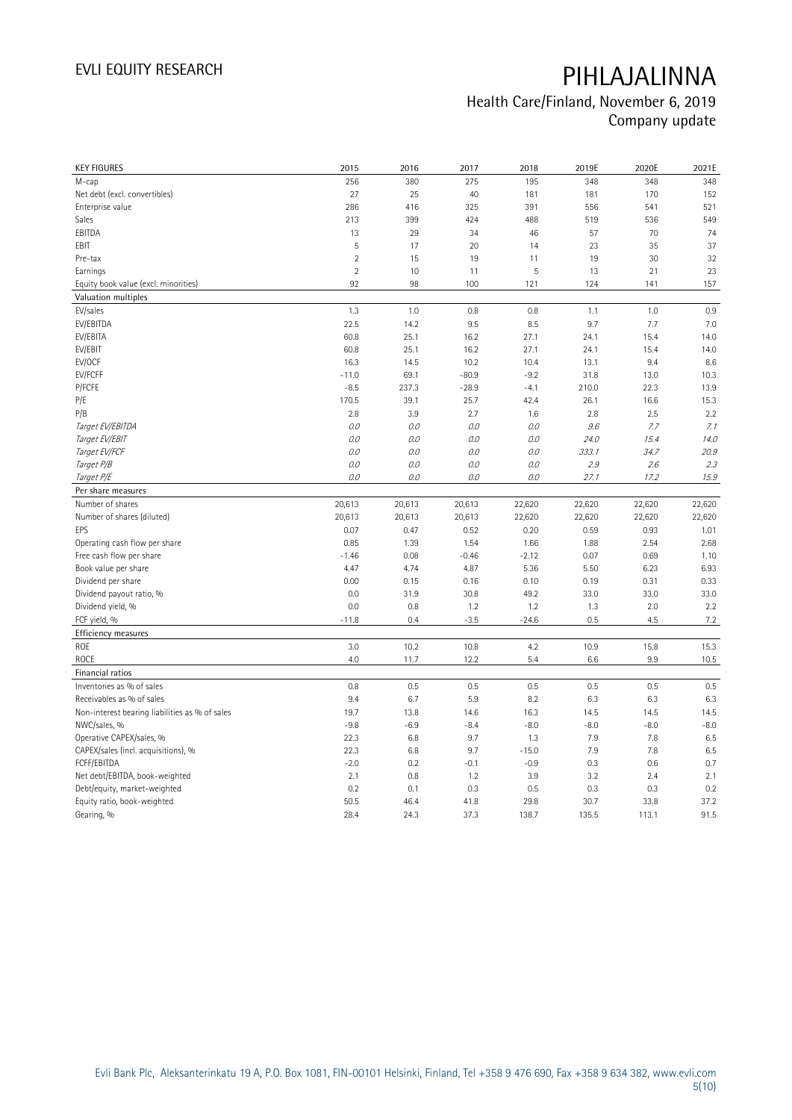| <b>KEY FIGURES</b>                             | 2015           | 2016         | 2017         | 2018          | 2019E         | 2020E         | 2021E        |
|------------------------------------------------|----------------|--------------|--------------|---------------|---------------|---------------|--------------|
| M-cap                                          | 256            | 380          | 275          | 195           | 348           | 348           | 348          |
| Net debt (excl. convertibles)                  | 27             | 25           | 40           | 181           | 181           | 170           | 152          |
| Enterprise value                               | 286            | 416          | 325          | 391           | 556           | 541           | 521          |
| Sales                                          | 213            | 399          | 424          | 488           | 519           | 536           | 549          |
| EBITDA                                         | 13             | 29           | 34           | 46            | 57            | 70            | 74           |
| EBIT                                           | 5              | 17           | 20           | 14            | 23            | 35            | 37           |
| Pre-tax                                        | $\overline{2}$ | 15           | 19           | 11            | 19            | 30            | 32           |
| Earnings                                       | $\overline{2}$ | 10           | 11           | 5             | 13            | 21            | 23           |
| Equity book value (excl. minorities)           | 92             | 98           | 100          | 121           | 124           | 141           | 157          |
| Valuation multiples                            |                |              |              |               |               |               |              |
| EV/sales                                       | 1.3            | 1.0          | 0.8          | 0.8           | 1.1           | 1.0           | 0.9          |
| EV/EBITDA                                      | 22.5           | 14.2         | 9.5          | 8.5           | 9.7           | 7.7           | 7.0          |
| EV/EBITA                                       | 60.8           | 25.1         | 16.2         | 27.1          | 24.1          | 15.4          | 14.0         |
| EV/EBIT                                        | 60.8           | 25.1         | 16.2         | 27.1          | 24.1          | 15.4          | 14.0         |
| EV/OCF                                         | 16.3           | 14.5         | 10.2         | 10.4          | 13.1          | 9.4           | 8.6          |
| EV/FCFF                                        | $-11.0$        | 69.1         | $-80.9$      | $-9.2$        | 31.8          | 13.0          | 10.3         |
| P/FCFE                                         | $-8.5$         | 237.3        | $-28.9$      | $-4.1$        | 210.0         | 22.3          | 13.9         |
| P/E                                            | 170.5          | 39.1         | 25.7         | 42.4          | 26.1          | 16.6          | 15.3         |
| P/B                                            | 2.8            | 3.9          | 2.7          | 1.6           | 2.8           | 2.5           | 2.2          |
| Target EV/EBITDA                               | 0.0            | 0.0          | 0.0          | 0.0           | 9.6           | 7.7           | 7.1          |
| Target EV/EBIT                                 | 0.0            | 0.0          | 0.0          | 0.0           | 24.0          | 15.4          | 14.0         |
| Target EV/FCF                                  | 0.0            | 0.0          | 0.0          | $O.O$         | 333.1         | 34.7          | 20.9         |
| Target P/B                                     | 0.0            | 0.0          | 0.0          | 0.0           | 2.9           | 2.6           | 2.3          |
| Target P/E                                     | 0.0            | 0.0          | 0.0          | 0.0           | 27.1          | 17.2          | 15.9         |
| Per share measures                             |                |              |              |               |               |               |              |
|                                                |                |              |              |               |               |               |              |
|                                                |                |              |              |               |               |               |              |
| Number of shares                               | 20,613         | 20,613       | 20,613       | 22,620        | 22,620        | 22,620        | 22,620       |
| Number of shares (diluted)                     | 20,613         | 20,613       | 20,613       | 22,620        | 22,620        | 22,620        | 22,620       |
| EPS                                            | 0.07           | 0.47         | 0.52         | 0.20          | 0.59          | 0.93          | 1.01         |
| Operating cash flow per share                  | 0.85           | 1.39         | 1.54         | 1.66          | 1.88          | 2.54          | 2.68         |
| Free cash flow per share                       | $-1.46$        | 0.08         | $-0.46$      | $-2.12$       | 0.07          | 0.69          | 1.10         |
| Book value per share                           | 4.47           | 4.74         | 4.87         | 5.36          | 5.50          | 6.23          | 6.93         |
| Dividend per share                             | 0.00           | 0.15         | 0.16         | 0.10          | 0.19          | 0.31          | 0.33         |
| Dividend payout ratio, %                       | 0.0            | 31.9         | 30.8         | 49.2          | 33.0          | 33.0          | 33.0         |
| Dividend yield, %                              | 0.0            | 0.8          | 1.2          | 1.2           | 1.3           | 2.0           | 2.2          |
| FCF yield, %                                   | $-11.8$        | 0.4          | $-3.5$       | $-24.6$       | 0.5           | 4.5           | 7.2          |
| Efficiency measures                            |                |              |              |               |               |               |              |
| ROE                                            | 3.0            | 10.2         | 10.8         | 4.2           | 10.9          | 15.8          | 15.3         |
| ROCE                                           | 4.0            | 11.7         | 12.2         | 5.4           | 6.6           | 9.9           | 10.5         |
| Financial ratios                               |                |              |              |               |               |               |              |
| Inventories as % of sales                      | 0.8            | 0.5          | 0.5          | 0.5           | 0.5           | 0.5           | 0.5          |
| Receivables as % of sales                      | 9.4            | 6.7          | 5.9          | 8.2           | 6.3           | 6.3           | 6.3          |
| Non-interest bearing liabilities as % of sales | 19.7           | 13.8         | 14.6         | 16.3          | 14.5          | 14.5          | 14.5         |
| NWC/sales, %                                   | $-9.8$         | $-6.9$       | $-8.4$       | $-8.0$        | $-8.0$        | $-8.0$        | $-8.0$       |
| Operative CAPEX/sales, %                       | 22.3           | 6.8          | 9.7          | 1.3           | 7.9           | 7.8           | 6.5          |
| CAPEX/sales (incl. acquisitions), %            | 22.3           | 6.8          | 9.7          | $-15.0$       | 7.9           | 7.8           | 6.5          |
| FCFF/EBITDA                                    | $-2.0$         | 0.2          | $-0.1$       | $-0.9$        | 0.3           | 0.6           | 0.7          |
| Net debt/EBITDA, book-weighted                 | 2.1            | 0.8          | 1.2          | 3.9           | 3.2           | 2.4           | 2.1          |
| Debt/equity, market-weighted                   | 0.2            | 0.1          | 0.3          | 0.5           | 0.3           | 0.3           | 0.2          |
| Equity ratio, book-weighted<br>Gearing, %      | 50.5<br>28.4   | 46.4<br>24.3 | 41.8<br>37.3 | 29.8<br>138.7 | 30.7<br>135.5 | 33.8<br>113.1 | 37.2<br>91.5 |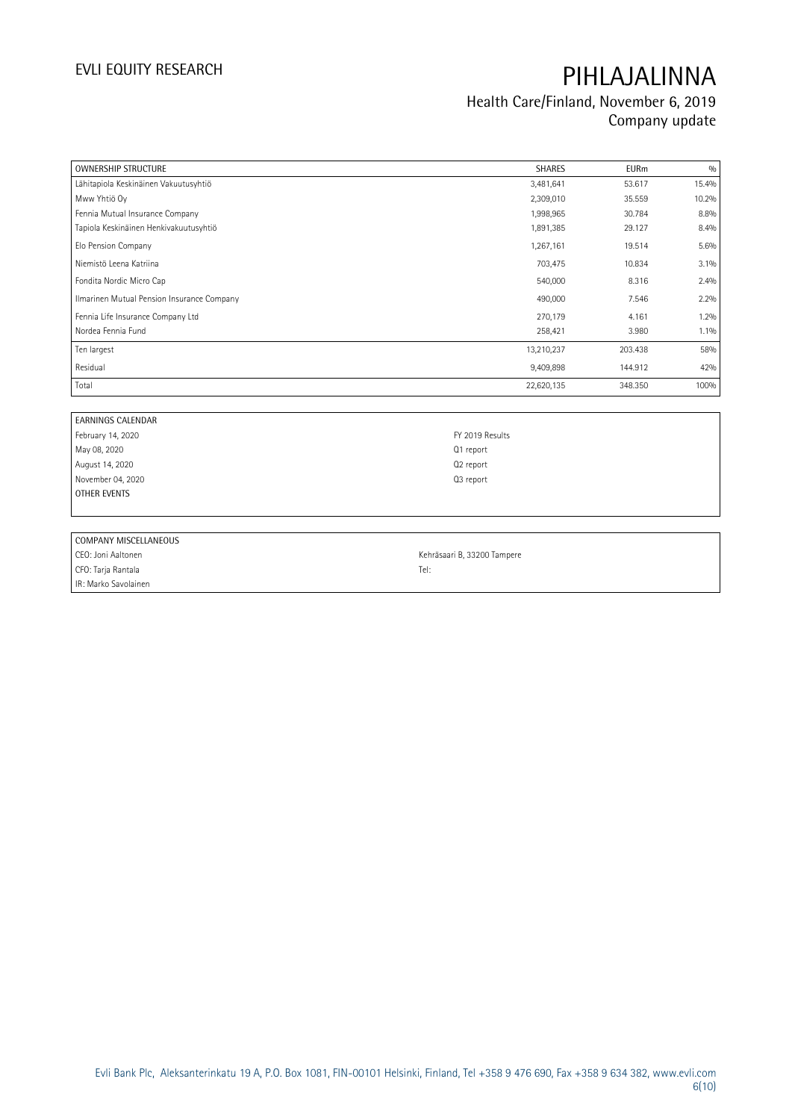| <b>OWNERSHIP STRUCTURE</b>                 | <b>SHARES</b>         | <b>EURm</b> | 0/0   |
|--------------------------------------------|-----------------------|-------------|-------|
| Lähitapiola Keskinäinen Vakuutusyhtiö      | 3,481,641             | 53.617      | 15.4% |
| Mww Yhtiö Oy                               | 2,309,010             | 35.559      | 10.2% |
| Fennia Mutual Insurance Company            | 1,998,965             | 30.784      | 8.8%  |
| Tapiola Keskinäinen Henkivakuutusyhtiö     | 1,891,385             | 29.127      | 8.4%  |
| Elo Pension Company                        | 1,267,161             | 19.514      | 5.6%  |
| Niemistö Leena Katriina                    | 703,475               | 10.834      | 3.1%  |
| Fondita Nordic Micro Cap                   | 540,000               | 8.316       | 2.4%  |
| Ilmarinen Mutual Pension Insurance Company | 490,000               | 7.546       | 2.2%  |
| Fennia Life Insurance Company Ltd          | 270,179               | 4.161       | 1.2%  |
| Nordea Fennia Fund                         | 258,421               | 3.980       | 1.1%  |
| Ten largest                                | 13,210,237            | 203.438     | 58%   |
| Residual                                   | 9,409,898             | 144.912     | 42%   |
| Total                                      | 22,620,135            | 348.350     | 100%  |
|                                            |                       |             |       |
| <b>EARNINGS CALENDAR</b>                   |                       |             |       |
| February 14, 2020                          | FY 2019 Results       |             |       |
| May 08, 2020                               | Q1 report             |             |       |
| August 14, 2020                            | Q <sub>2</sub> report |             |       |
| November 04, 2020                          | Q3 report             |             |       |
| <b>OTHER EVENTS</b>                        |                       |             |       |
|                                            |                       |             |       |

| COMPANY MISCELLANEOUS |                             |
|-----------------------|-----------------------------|
| CEO: Joni Aaltonen    | Kehräsaari B, 33200 Tampere |
| CFO: Tarja Rantala    | Tel:                        |
| IR: Marko Savolainen  |                             |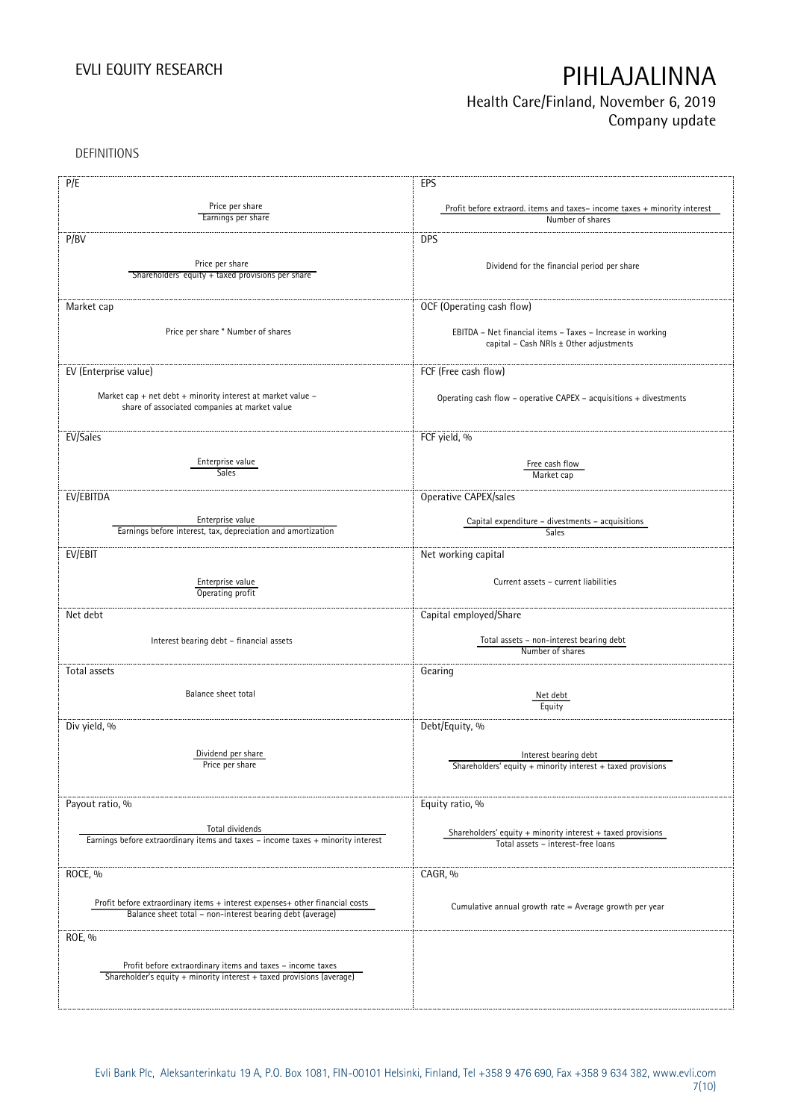## Health Care/Finland, November 6, 2019 Company update

DEFINITIONS

| P/E                                                                                                 | EPS                                                                      |
|-----------------------------------------------------------------------------------------------------|--------------------------------------------------------------------------|
| Price per share                                                                                     | Profit before extraord. items and taxes-income taxes + minority interest |
| Earnings per share                                                                                  | Number of shares                                                         |
| P/BV                                                                                                | <b>DPS</b>                                                               |
| Price per share                                                                                     |                                                                          |
| Shareholders' equity + taxed provisions per share                                                   | Dividend for the financial period per share                              |
|                                                                                                     |                                                                          |
| Market cap                                                                                          | OCF (Operating cash flow)                                                |
|                                                                                                     |                                                                          |
| Price per share * Number of shares                                                                  | EBITDA - Net financial items - Taxes - Increase in working               |
|                                                                                                     | capital - Cash NRIs ± Other adjustments                                  |
| EV (Enterprise value)                                                                               | FCF (Free cash flow)                                                     |
|                                                                                                     |                                                                          |
| Market cap + net debt + minority interest at market value -                                         | Operating cash flow - operative CAPEX - acquisitions + divestments       |
| share of associated companies at market value                                                       |                                                                          |
|                                                                                                     |                                                                          |
| EV/Sales                                                                                            | FCF yield, %                                                             |
| Enterprise value                                                                                    | Free cash flow                                                           |
| Sales                                                                                               | Market cap                                                               |
| EV/EBITDA                                                                                           | Operative CAPEX/sales                                                    |
|                                                                                                     |                                                                          |
| Enterprise value                                                                                    | Capital expenditure - divestments - acquisitions                         |
| Earnings before interest, tax, depreciation and amortization                                        | <b>Sales</b>                                                             |
| EV/EBIT                                                                                             | Net working capital                                                      |
|                                                                                                     |                                                                          |
| Enterprise value                                                                                    | Current assets - current liabilities                                     |
| Operating profit                                                                                    |                                                                          |
| Net debt                                                                                            | Capital employed/Share                                                   |
|                                                                                                     |                                                                          |
| Interest bearing debt - financial assets                                                            | Total assets - non-interest bearing debt<br>Number of shares             |
|                                                                                                     |                                                                          |
| Total assets                                                                                        | Gearing                                                                  |
| Balance sheet total                                                                                 | Net debt                                                                 |
|                                                                                                     | Equity                                                                   |
| Div yield, %                                                                                        | Debt/Equity, %                                                           |
|                                                                                                     |                                                                          |
| Dividend per share                                                                                  | Interest bearing debt                                                    |
| Price per share                                                                                     | Shareholders' equity + minority interest + taxed provisions              |
|                                                                                                     |                                                                          |
| Payout ratio, %                                                                                     | Equity ratio, %                                                          |
|                                                                                                     |                                                                          |
| Total dividends<br>Earnings before extraordinary items and taxes - income taxes + minority interest | Shareholders' equity $+$ minority interest $+$ taxed provisions          |
|                                                                                                     | Total assets - interest-free loans                                       |
| ROCE, %                                                                                             | CAGR, %                                                                  |
|                                                                                                     |                                                                          |
| Profit before extraordinary items + interest expenses+ other financial costs                        |                                                                          |
| Balance sheet total - non-interest bearing debt (average)                                           | Cumulative annual growth rate = Average growth per year                  |
|                                                                                                     |                                                                          |
| ROE, %                                                                                              |                                                                          |
| Profit before extraordinary items and taxes – income taxes                                          |                                                                          |
| Shareholder's equity + minority interest + taxed provisions (average)                               |                                                                          |
|                                                                                                     |                                                                          |
|                                                                                                     |                                                                          |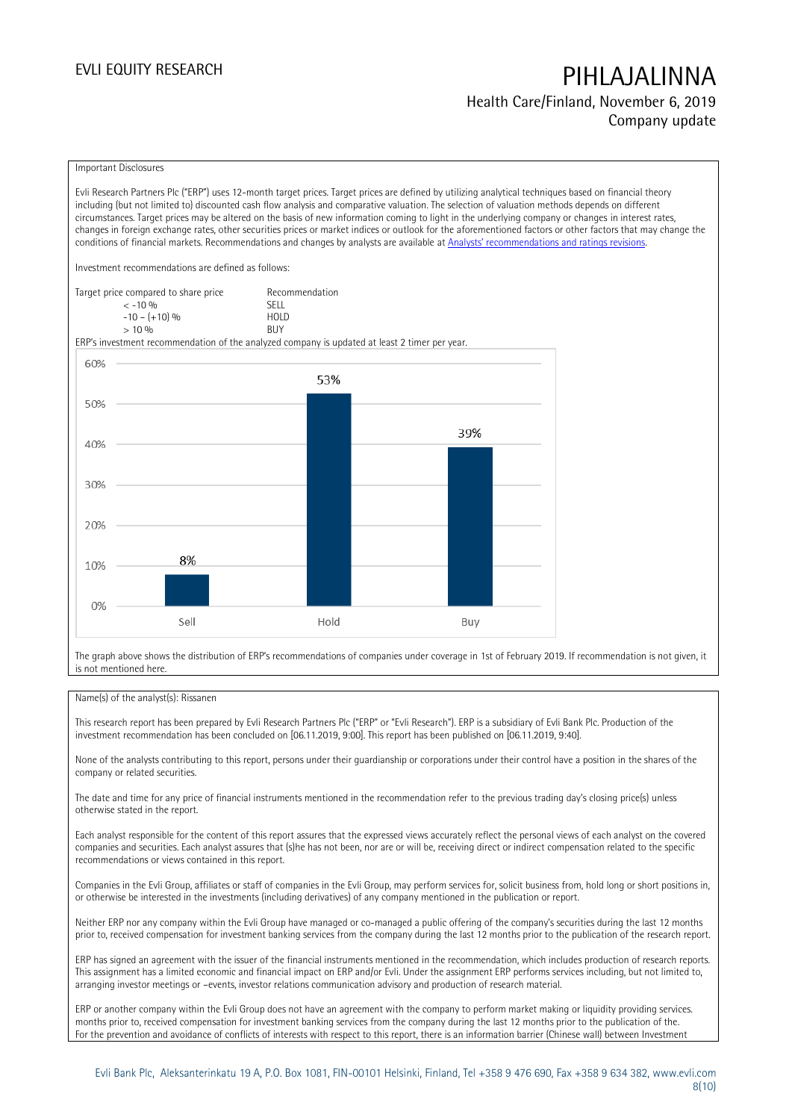Health Care/Finland, November 6, 2019 Company update

### Important Disclosures

Evli Research Partners Plc ("ERP") uses 12-month target prices. Target prices are defined by utilizing analytical techniques based on financial theory including (but not limited to) discounted cash flow analysis and comparative valuation. The selection of valuation methods depends on different circumstances. Target prices may be altered on the basis of new information coming to light in the underlying company or changes in interest rates, changes in foreign exchange rates, other securities prices or market indices or outlook for the aforementioned factors or other factors that may change the conditions of financial markets. Recommendations and changes by analysts are available at Analy[sts' recommendations and ratings revisions](https://research.evli.com/JasperAllModels.action?authParam=key;461&authParam=x;G3rNagWrtf7K&authType=3). Investment recommendations are defined as follows: Target price compared to share price Recommendation<br>CELL CALLO 06



The graph above shows the distribution of ERP's recommendations of companies under coverage in 1st of February 2019. If recommendation is not given, it is not mentioned here.

### Name(s) of the analyst(s): Rissanen

This research report has been prepared by Evli Research Partners Plc ("ERP" or "Evli Research"). ERP is a subsidiary of Evli Bank Plc. Production of the investment recommendation has been concluded on [06.11.2019, 9:00]. This report has been published on [06.11.2019, 9:40].

None of the analysts contributing to this report, persons under their guardianship or corporations under their control have a position in the shares of the company or related securities.

The date and time for any price of financial instruments mentioned in the recommendation refer to the previous trading day's closing price(s) unless otherwise stated in the report.

Each analyst responsible for the content of this report assures that the expressed views accurately reflect the personal views of each analyst on the covered companies and securities. Each analyst assures that (s)he has not been, nor are or will be, receiving direct or indirect compensation related to the specific recommendations or views contained in this report.

Companies in the Evli Group, affiliates or staff of companies in the Evli Group, may perform services for, solicit business from, hold long or short positions in, or otherwise be interested in the investments (including derivatives) of any company mentioned in the publication or report.

Neither ERP nor any company within the Evli Group have managed or co-managed a public offering of the company's securities during the last 12 months prior to, received compensation for investment banking services from the company during the last 12 months prior to the publication of the research report.

ERP has signed an agreement with the issuer of the financial instruments mentioned in the recommendation, which includes production of research reports. This assignment has a limited economic and financial impact on ERP and/or Evli. Under the assignment ERP performs services including, but not limited to, arranging investor meetings or –events, investor relations communication advisory and production of research material.

ERP or another company within the Evli Group does not have an agreement with the company to perform market making or liquidity providing services. months prior to, received compensation for investment banking services from the company during the last 12 months prior to the publication of the. For the prevention and avoidance of conflicts of interests with respect to this report, there is an information barrier (Chinese wall) between Investment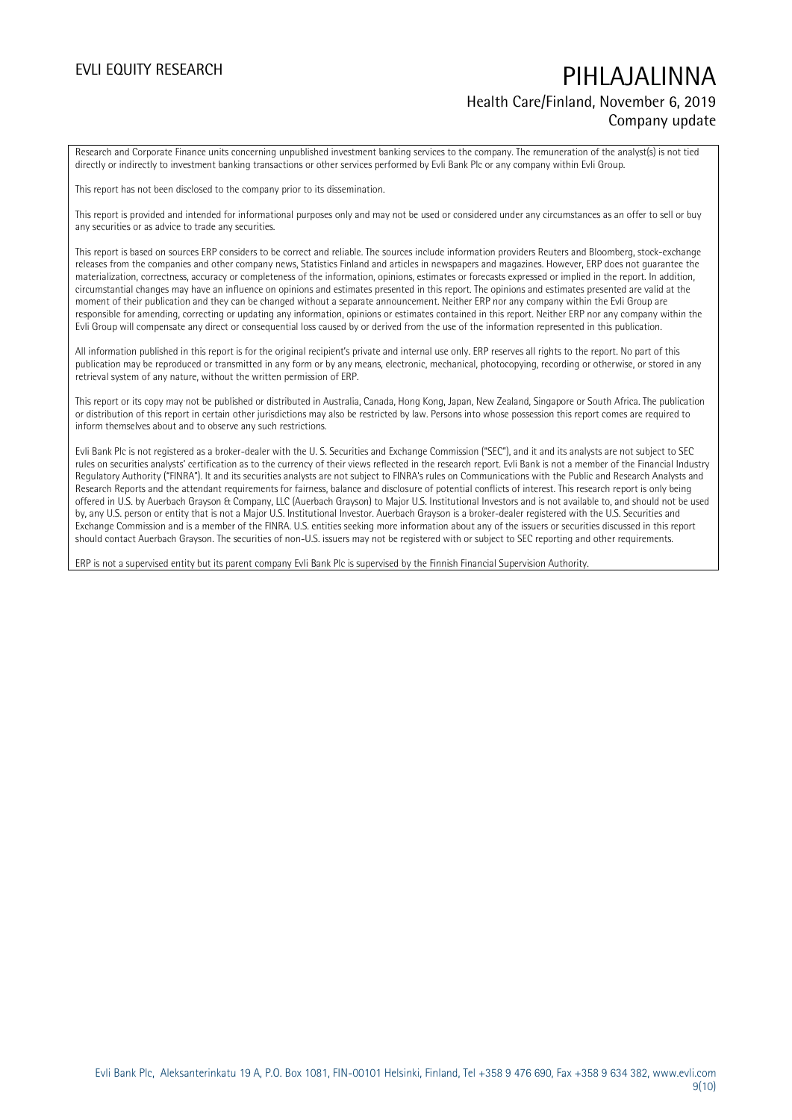## EVLI EQUITY RESEARCH PIHLAJALINNA Health Care/Finland, November 6, 2019 Company update

Research and Corporate Finance units concerning unpublished investment banking services to the company. The remuneration of the analyst(s) is not tied directly or indirectly to investment banking transactions or other services performed by Evli Bank Plc or any company within Evli Group.

This report has not been disclosed to the company prior to its dissemination.

This report is provided and intended for informational purposes only and may not be used or considered under any circumstances as an offer to sell or buy any securities or as advice to trade any securities.

This report is based on sources ERP considers to be correct and reliable. The sources include information providers Reuters and Bloomberg, stock-exchange releases from the companies and other company news, Statistics Finland and articles in newspapers and magazines. However, ERP does not guarantee the materialization, correctness, accuracy or completeness of the information, opinions, estimates or forecasts expressed or implied in the report. In addition, circumstantial changes may have an influence on opinions and estimates presented in this report. The opinions and estimates presented are valid at the moment of their publication and they can be changed without a separate announcement. Neither ERP nor any company within the Evli Group are responsible for amending, correcting or updating any information, opinions or estimates contained in this report. Neither ERP nor any company within the Evli Group will compensate any direct or consequential loss caused by or derived from the use of the information represented in this publication.

All information published in this report is for the original recipient's private and internal use only. ERP reserves all rights to the report. No part of this publication may be reproduced or transmitted in any form or by any means, electronic, mechanical, photocopying, recording or otherwise, or stored in any retrieval system of any nature, without the written permission of ERP.

This report or its copy may not be published or distributed in Australia, Canada, Hong Kong, Japan, New Zealand, Singapore or South Africa. The publication or distribution of this report in certain other jurisdictions may also be restricted by law. Persons into whose possession this report comes are required to inform themselves about and to observe any such restrictions.

Evli Bank Plc is not registered as a broker-dealer with the U. S. Securities and Exchange Commission ("SEC"), and it and its analysts are not subject to SEC rules on securities analysts' certification as to the currency of their views reflected in the research report. Evli Bank is not a member of the Financial Industry Regulatory Authority ("FINRA"). It and its securities analysts are not subject to FINRA's rules on Communications with the Public and Research Analysts and Research Reports and the attendant requirements for fairness, balance and disclosure of potential conflicts of interest. This research report is only being offered in U.S. by Auerbach Grayson & Company, LLC (Auerbach Grayson) to Major U.S. Institutional Investors and is not available to, and should not be used by, any U.S. person or entity that is not a Major U.S. Institutional Investor. Auerbach Grayson is a broker-dealer registered with the U.S. Securities and Exchange Commission and is a member of the FINRA. U.S. entities seeking more information about any of the issuers or securities discussed in this report should contact Auerbach Grayson. The securities of non-U.S. issuers may not be registered with or subject to SEC reporting and other requirements.

ERP is not a supervised entity but its parent company Evli Bank Plc is supervised by the Finnish Financial Supervision Authority.